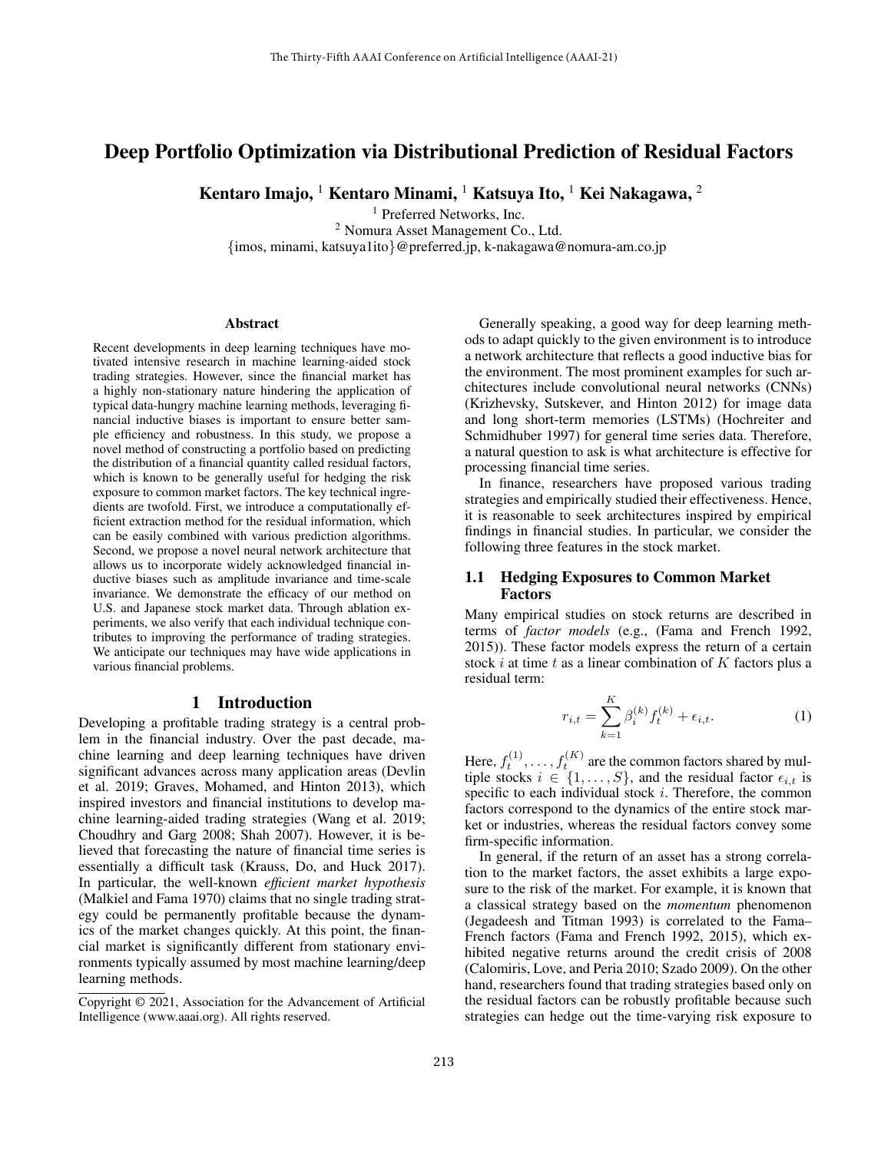# Deep Portfolio Optimization via Distributional Prediction of Residual Factors

Kentaro Imajo, <sup>1</sup> Kentaro Minami, <sup>1</sup> Katsuya Ito, <sup>1</sup> Kei Nakagawa, <sup>2</sup>

<sup>1</sup> Preferred Networks, Inc. <sup>2</sup> Nomura Asset Management Co., Ltd.

{imos, minami, katsuya1ito}@preferred.jp, k-nakagawa@nomura-am.co.jp

#### Abstract

Recent developments in deep learning techniques have motivated intensive research in machine learning-aided stock trading strategies. However, since the financial market has a highly non-stationary nature hindering the application of typical data-hungry machine learning methods, leveraging financial inductive biases is important to ensure better sample efficiency and robustness. In this study, we propose a novel method of constructing a portfolio based on predicting the distribution of a financial quantity called residual factors, which is known to be generally useful for hedging the risk exposure to common market factors. The key technical ingredients are twofold. First, we introduce a computationally efficient extraction method for the residual information, which can be easily combined with various prediction algorithms. Second, we propose a novel neural network architecture that allows us to incorporate widely acknowledged financial inductive biases such as amplitude invariance and time-scale invariance. We demonstrate the efficacy of our method on U.S. and Japanese stock market data. Through ablation experiments, we also verify that each individual technique contributes to improving the performance of trading strategies. We anticipate our techniques may have wide applications in various financial problems.

## 1 Introduction

Developing a profitable trading strategy is a central problem in the financial industry. Over the past decade, machine learning and deep learning techniques have driven significant advances across many application areas (Devlin et al. 2019; Graves, Mohamed, and Hinton 2013), which inspired investors and financial institutions to develop machine learning-aided trading strategies (Wang et al. 2019; Choudhry and Garg 2008; Shah 2007). However, it is believed that forecasting the nature of financial time series is essentially a difficult task (Krauss, Do, and Huck 2017). In particular, the well-known *efficient market hypothesis* (Malkiel and Fama 1970) claims that no single trading strategy could be permanently profitable because the dynamics of the market changes quickly. At this point, the financial market is significantly different from stationary environments typically assumed by most machine learning/deep learning methods.

Generally speaking, a good way for deep learning methods to adapt quickly to the given environment is to introduce a network architecture that reflects a good inductive bias for the environment. The most prominent examples for such architectures include convolutional neural networks (CNNs) (Krizhevsky, Sutskever, and Hinton 2012) for image data and long short-term memories (LSTMs) (Hochreiter and Schmidhuber 1997) for general time series data. Therefore, a natural question to ask is what architecture is effective for processing financial time series.

In finance, researchers have proposed various trading strategies and empirically studied their effectiveness. Hence, it is reasonable to seek architectures inspired by empirical findings in financial studies. In particular, we consider the following three features in the stock market.

### 1.1 Hedging Exposures to Common Market Factors

Many empirical studies on stock returns are described in terms of *factor models* (e.g., (Fama and French 1992, 2015)). These factor models express the return of a certain stock  $i$  at time  $t$  as a linear combination of  $K$  factors plus a residual term:

$$
r_{i,t} = \sum_{k=1}^{K} \beta_i^{(k)} f_t^{(k)} + \epsilon_{i,t}.
$$
 (1)

Here,  $f_t^{(1)}, \ldots, f_t^{(K)}$  are the common factors shared by multiple stocks  $i \in \{1, \ldots, S\}$ , and the residual factor  $\epsilon_{i,t}$  is specific to each individual stock  $i$ . Therefore, the common factors correspond to the dynamics of the entire stock market or industries, whereas the residual factors convey some firm-specific information.

In general, if the return of an asset has a strong correlation to the market factors, the asset exhibits a large exposure to the risk of the market. For example, it is known that a classical strategy based on the *momentum* phenomenon (Jegadeesh and Titman 1993) is correlated to the Fama– French factors (Fama and French 1992, 2015), which exhibited negative returns around the credit crisis of 2008 (Calomiris, Love, and Peria 2010; Szado 2009). On the other hand, researchers found that trading strategies based only on the residual factors can be robustly profitable because such strategies can hedge out the time-varying risk exposure to

Copyright © 2021, Association for the Advancement of Artificial Intelligence (www.aaai.org). All rights reserved.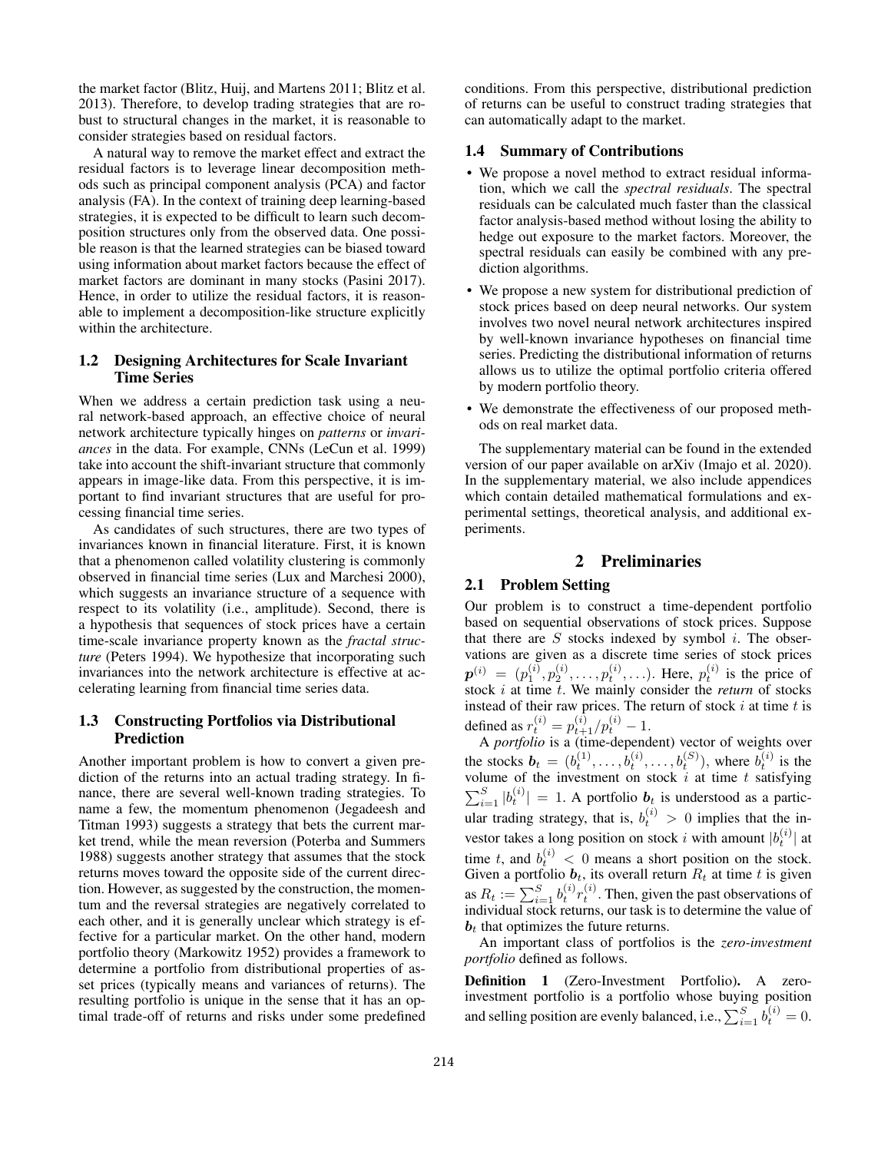the market factor (Blitz, Huij, and Martens 2011; Blitz et al. 2013). Therefore, to develop trading strategies that are robust to structural changes in the market, it is reasonable to consider strategies based on residual factors.

A natural way to remove the market effect and extract the residual factors is to leverage linear decomposition methods such as principal component analysis (PCA) and factor analysis (FA). In the context of training deep learning-based strategies, it is expected to be difficult to learn such decomposition structures only from the observed data. One possible reason is that the learned strategies can be biased toward using information about market factors because the effect of market factors are dominant in many stocks (Pasini 2017). Hence, in order to utilize the residual factors, it is reasonable to implement a decomposition-like structure explicitly within the architecture.

## 1.2 Designing Architectures for Scale Invariant Time Series

When we address a certain prediction task using a neural network-based approach, an effective choice of neural network architecture typically hinges on *patterns* or *invariances* in the data. For example, CNNs (LeCun et al. 1999) take into account the shift-invariant structure that commonly appears in image-like data. From this perspective, it is important to find invariant structures that are useful for processing financial time series.

As candidates of such structures, there are two types of invariances known in financial literature. First, it is known that a phenomenon called volatility clustering is commonly observed in financial time series (Lux and Marchesi 2000), which suggests an invariance structure of a sequence with respect to its volatility (i.e., amplitude). Second, there is a hypothesis that sequences of stock prices have a certain time-scale invariance property known as the *fractal structure* (Peters 1994). We hypothesize that incorporating such invariances into the network architecture is effective at accelerating learning from financial time series data.

## 1.3 Constructing Portfolios via Distributional Prediction

Another important problem is how to convert a given prediction of the returns into an actual trading strategy. In finance, there are several well-known trading strategies. To name a few, the momentum phenomenon (Jegadeesh and Titman 1993) suggests a strategy that bets the current market trend, while the mean reversion (Poterba and Summers 1988) suggests another strategy that assumes that the stock returns moves toward the opposite side of the current direction. However, as suggested by the construction, the momentum and the reversal strategies are negatively correlated to each other, and it is generally unclear which strategy is effective for a particular market. On the other hand, modern portfolio theory (Markowitz 1952) provides a framework to determine a portfolio from distributional properties of asset prices (typically means and variances of returns). The resulting portfolio is unique in the sense that it has an optimal trade-off of returns and risks under some predefined conditions. From this perspective, distributional prediction of returns can be useful to construct trading strategies that can automatically adapt to the market.

## 1.4 Summary of Contributions

- We propose a novel method to extract residual information, which we call the *spectral residuals*. The spectral residuals can be calculated much faster than the classical factor analysis-based method without losing the ability to hedge out exposure to the market factors. Moreover, the spectral residuals can easily be combined with any prediction algorithms.
- We propose a new system for distributional prediction of stock prices based on deep neural networks. Our system involves two novel neural network architectures inspired by well-known invariance hypotheses on financial time series. Predicting the distributional information of returns allows us to utilize the optimal portfolio criteria offered by modern portfolio theory.
- We demonstrate the effectiveness of our proposed methods on real market data.

The supplementary material can be found in the extended version of our paper available on arXiv (Imajo et al. 2020). In the supplementary material, we also include appendices which contain detailed mathematical formulations and experimental settings, theoretical analysis, and additional experiments.

# 2 Preliminaries

## 2.1 Problem Setting

Our problem is to construct a time-dependent portfolio based on sequential observations of stock prices. Suppose that there are  $S$  stocks indexed by symbol  $i$ . The observations are given as a discrete time series of stock prices  $\boldsymbol{p}^{(i)} = (p_1^{(i)}, p_2^{(i)}, \dots, p_t^{(i)}, \dots)$ . Here,  $p_t^{(i)}$  is the price of stock i at time t. We mainly consider the *return* of stocks instead of their raw prices. The return of stock  $i$  at time  $t$  is defined as  $r_t^{(i)} = p_{t+1}^{(i)}/p_t^{(i)} - 1$ .

A *portfolio* is a (time-dependent) vector of weights over the stocks  $b_t = (b_t^{(1)}, \dots, b_t^{(i)}, \dots, b_t^{(S)})$ , where  $b_t^{(i)}$  is the volume of the investment on stock  $i$  at time  $t$  satisfying  $\sum_{i=1}^{S} |b_t^{(i)}| = 1$ . A portfolio  $b_t$  is understood as a particular trading strategy, that is,  $b_t^{(i)} > 0$  implies that the investor takes a long position on stock i with amount  $|b_t^{(i)}|$  at time t, and  $b_t^{(i)} < 0$  means a short position on the stock. Given a portfolio  $b_t$ , its overall return  $R_t$  at time t is given as  $R_t := \sum_{i=1}^{S} b_t^{(i)} r_t^{(i)}$ . Then, given the past observations of individual stock returns, our task is to determine the value of  **that optimizes the future returns.** 

An important class of portfolios is the *zero-investment portfolio* defined as follows.

Definition 1 (Zero-Investment Portfolio). A zeroinvestment portfolio is a portfolio whose buying position and selling position are evenly balanced, i.e.,  $\sum_{i=1}^{S} b_t^{(i)} = 0$ .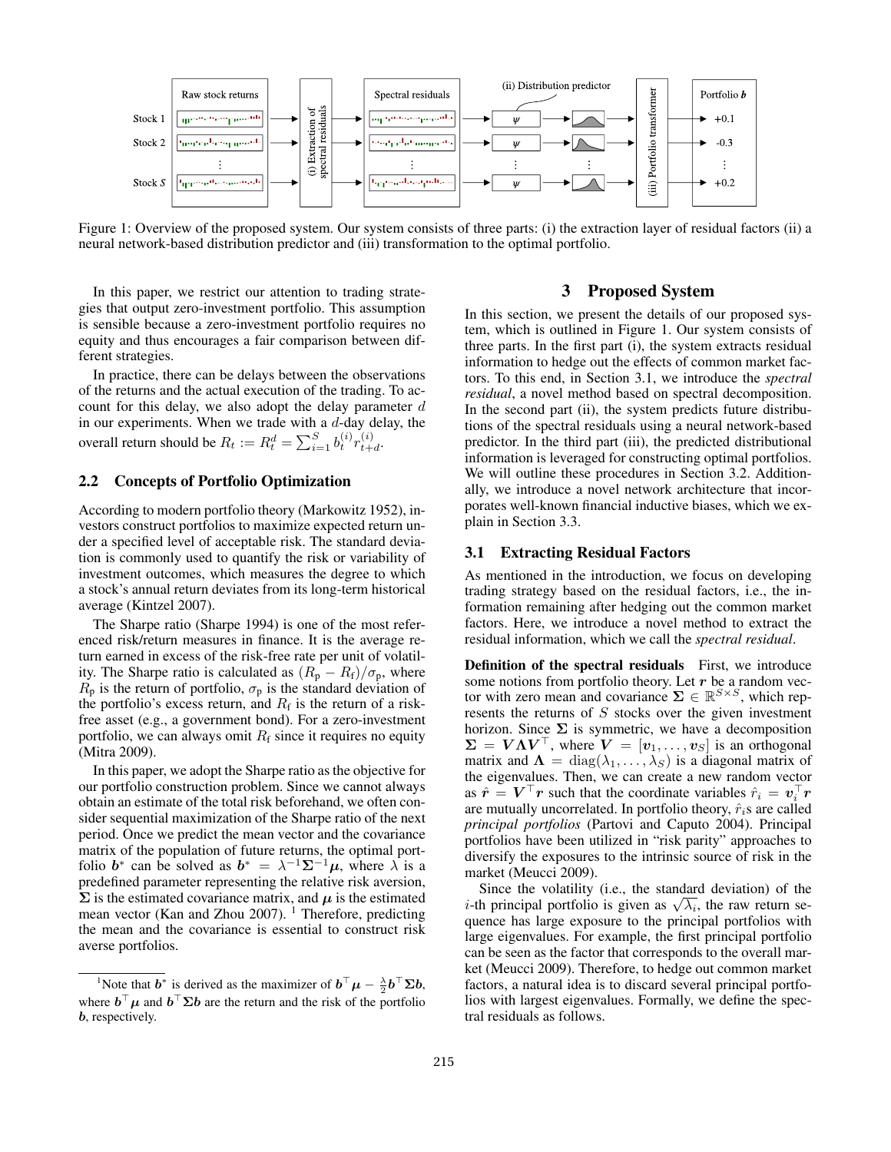

Figure 1: Overview of the proposed system. Our system consists of three parts: (i) the extraction layer of residual factors (ii) a neural network-based distribution predictor and (iii) transformation to the optimal portfolio.

In this paper, we restrict our attention to trading strategies that output zero-investment portfolio. This assumption is sensible because a zero-investment portfolio requires no equity and thus encourages a fair comparison between different strategies.

In practice, there can be delays between the observations of the returns and the actual execution of the trading. To account for this delay, we also adopt the delay parameter  $d$ in our experiments. When we trade with a  $d$ -day delay, the overall return should be  $R_t := R_t^d = \sum_{i=1}^S b_t^{(i)} r_{t+1}^{(i)}$  $\overset{(i)}{t+d}$ 

## 2.2 Concepts of Portfolio Optimization

According to modern portfolio theory (Markowitz 1952), investors construct portfolios to maximize expected return under a specified level of acceptable risk. The standard deviation is commonly used to quantify the risk or variability of investment outcomes, which measures the degree to which a stock's annual return deviates from its long-term historical average (Kintzel 2007).

The Sharpe ratio (Sharpe 1994) is one of the most referenced risk/return measures in finance. It is the average return earned in excess of the risk-free rate per unit of volatility. The Sharpe ratio is calculated as  $(R_p - R_f)/\sigma_p$ , where  $R_p$  is the return of portfolio,  $\sigma_p$  is the standard deviation of the portfolio's excess return, and  $R_f$  is the return of a riskfree asset (e.g., a government bond). For a zero-investment portfolio, we can always omit  $R_f$  since it requires no equity (Mitra 2009).

In this paper, we adopt the Sharpe ratio as the objective for our portfolio construction problem. Since we cannot always obtain an estimate of the total risk beforehand, we often consider sequential maximization of the Sharpe ratio of the next period. Once we predict the mean vector and the covariance matrix of the population of future returns, the optimal portfolio  $b^*$  can be solved as  $b^* = \lambda^{-1} \Sigma^{-1} \mu$ , where  $\lambda$  is a predefined parameter representing the relative risk aversion,  $\Sigma$  is the estimated covariance matrix, and  $\mu$  is the estimated mean vector (Kan and Zhou 2007).<sup>1</sup> Therefore, predicting the mean and the covariance is essential to construct risk averse portfolios.

# 3 Proposed System

In this section, we present the details of our proposed system, which is outlined in Figure 1. Our system consists of three parts. In the first part (i), the system extracts residual information to hedge out the effects of common market factors. To this end, in Section 3.1, we introduce the *spectral residual*, a novel method based on spectral decomposition. In the second part (ii), the system predicts future distributions of the spectral residuals using a neural network-based predictor. In the third part (iii), the predicted distributional information is leveraged for constructing optimal portfolios. We will outline these procedures in Section 3.2. Additionally, we introduce a novel network architecture that incorporates well-known financial inductive biases, which we explain in Section 3.3.

#### 3.1 Extracting Residual Factors

As mentioned in the introduction, we focus on developing trading strategy based on the residual factors, i.e., the information remaining after hedging out the common market factors. Here, we introduce a novel method to extract the residual information, which we call the *spectral residual*.

Definition of the spectral residuals First, we introduce some notions from portfolio theory. Let  $r$  be a random vector with zero mean and covariance  $\Sigma \in \mathbb{R}^{S \times S}$ , which represents the returns of S stocks over the given investment horizon. Since  $\Sigma$  is symmetric, we have a decomposition  $\Sigma = V \Lambda V^{\top}$ , where  $V = [v_1, \dots, v_S]$  is an orthogonal matrix and  $\Lambda = \text{diag}(\lambda_1, \ldots, \lambda_S)$  is a diagonal matrix of the eigenvalues. Then, we can create a new random vector as  $\hat{r} = V^{\top} r$  such that the coordinate variables  $\hat{r}_i = v_i^{\top} r$ are mutually uncorrelated. In portfolio theory,  $\hat{r}_i$ s are called *principal portfolios* (Partovi and Caputo 2004). Principal portfolios have been utilized in "risk parity" approaches to diversify the exposures to the intrinsic source of risk in the market (Meucci 2009).

Since the volatility (i.e., the standard deviation) of the Since the volatility (i.e., the standard deviation) of the *i*-th principal portfolio is given as  $\sqrt{\lambda_i}$ , the raw return sequence has large exposure to the principal portfolios with large eigenvalues. For example, the first principal portfolio can be seen as the factor that corresponds to the overall market (Meucci 2009). Therefore, to hedge out common market factors, a natural idea is to discard several principal portfolios with largest eigenvalues. Formally, we define the spectral residuals as follows.

<sup>&</sup>lt;sup>1</sup>Note that  $\mathbf{b}^*$  is derived as the maximizer of  $\mathbf{b}^\top \mathbf{\mu} - \frac{\lambda}{2} \mathbf{b}^\top \Sigma \mathbf{b}$ , where  $\mathbf{b}^\top \mu$  and  $\mathbf{b}^\top \Sigma \mathbf{b}$  are the return and the risk of the portfolio b, respectively.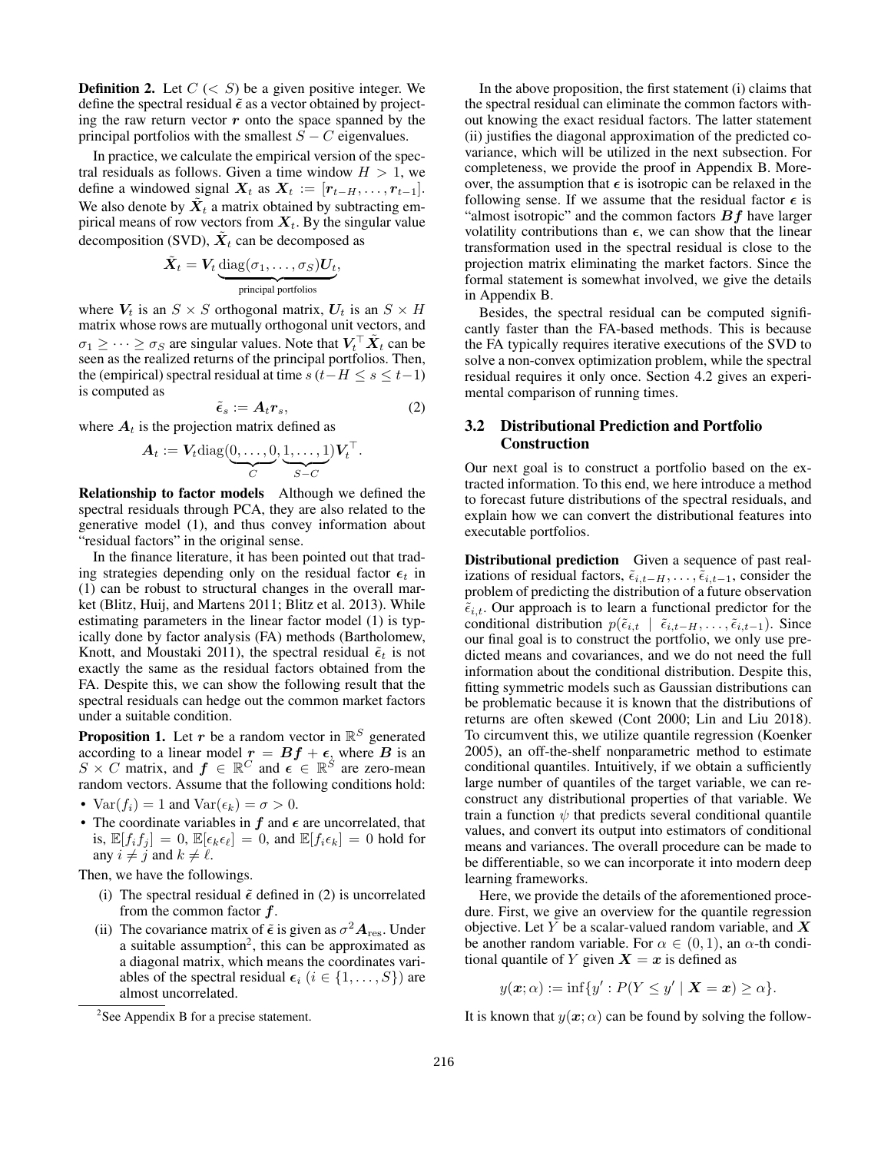**Definition 2.** Let  $C \leq S$  be a given positive integer. We define the spectral residual  $\tilde{\epsilon}$  as a vector obtained by projecting the raw return vector  $r$  onto the space spanned by the principal portfolios with the smallest  $S - C$  eigenvalues.

In practice, we calculate the empirical version of the spectral residuals as follows. Given a time window  $H > 1$ , we define a windowed signal  $X_t$  as  $X_t := [r_{t-H}, \ldots, r_{t-1}].$ We also denote by  $\tilde{X}_t$  a matrix obtained by subtracting empirical means of row vectors from  $X_t$ . By the singular value decomposition (SVD),  $\tilde{X}_t$  can be decomposed as

$$
\tilde{\boldsymbol{X}}_t = \boldsymbol{V}_t \underbrace{\text{diag}(\sigma_1,\ldots,\sigma_S) \boldsymbol{U}_t}_{\text{principal portfolios}},
$$

where  $V_t$  is an  $S \times S$  orthogonal matrix,  $U_t$  is an  $S \times H$ matrix whose rows are mutually orthogonal unit vectors, and  $\sigma_1 \geq \cdots \geq \sigma_S$  are singular values. Note that  $V_t^\top \tilde{X}_t$  can be seen as the realized returns of the principal portfolios. Then, the (empirical) spectral residual at time  $s(t-H \leq s \leq t-1)$ is computed as

$$
\tilde{\epsilon}_s := A_t r_s,\tag{2}
$$

where  $A_t$  is the projection matrix defined as

$$
\boldsymbol{A}_t := \boldsymbol{V}_t \text{diag}(\underbrace{0,\ldots,0}_{C},\underbrace{1,\ldots,1}_{S-C}) \boldsymbol{V}_t^\top.
$$

Relationship to factor models Although we defined the spectral residuals through PCA, they are also related to the generative model (1), and thus convey information about "residual factors" in the original sense.

In the finance literature, it has been pointed out that trading strategies depending only on the residual factor  $\epsilon_t$  in (1) can be robust to structural changes in the overall market (Blitz, Huij, and Martens 2011; Blitz et al. 2013). While estimating parameters in the linear factor model (1) is typically done by factor analysis (FA) methods (Bartholomew, Knott, and Moustaki 2011), the spectral residual  $\tilde{\epsilon}_t$  is not exactly the same as the residual factors obtained from the FA. Despite this, we can show the following result that the spectral residuals can hedge out the common market factors under a suitable condition.

**Proposition 1.** Let  $r$  be a random vector in  $\mathbb{R}^S$  generated according to a linear model  $r = Bf + \epsilon$ , where B is an  $S \times C$  matrix, and  $f \in \mathbb{R}^C$  and  $\epsilon \in \mathbb{R}^S$  are zero-mean random vectors. Assume that the following conditions hold:

- $Var(f_i) = 1$  and  $Var(\epsilon_k) = \sigma > 0$ .
- The coordinate variables in  $f$  and  $\epsilon$  are uncorrelated, that is,  $\mathbb{E}[f_i f_j] = 0$ ,  $\mathbb{E}[\epsilon_k \epsilon_\ell] = 0$ , and  $\mathbb{E}[f_i \epsilon_k] = 0$  hold for any  $i \neq j$  and  $k \neq \ell$ .

Then, we have the followings.

- (i) The spectral residual  $\tilde{\epsilon}$  defined in (2) is uncorrelated from the common factor  $f$ .
- (ii) The covariance matrix of  $\tilde{\epsilon}$  is given as  $\sigma^2 A_{\text{res}}$ . Under a suitable assumption<sup>2</sup>, this can be approximated as a diagonal matrix, which means the coordinates variables of the spectral residual  $\epsilon_i$  ( $i \in \{1, \ldots, S\}$ ) are almost uncorrelated.

In the above proposition, the first statement (i) claims that the spectral residual can eliminate the common factors without knowing the exact residual factors. The latter statement (ii) justifies the diagonal approximation of the predicted covariance, which will be utilized in the next subsection. For completeness, we provide the proof in Appendix B. Moreover, the assumption that  $\epsilon$  is isotropic can be relaxed in the following sense. If we assume that the residual factor  $\epsilon$  is "almost isotropic" and the common factors  $Bf$  have larger volatility contributions than  $\epsilon$ , we can show that the linear transformation used in the spectral residual is close to the projection matrix eliminating the market factors. Since the formal statement is somewhat involved, we give the details in Appendix B.

Besides, the spectral residual can be computed significantly faster than the FA-based methods. This is because the FA typically requires iterative executions of the SVD to solve a non-convex optimization problem, while the spectral residual requires it only once. Section 4.2 gives an experimental comparison of running times.

## 3.2 Distributional Prediction and Portfolio Construction

Our next goal is to construct a portfolio based on the extracted information. To this end, we here introduce a method to forecast future distributions of the spectral residuals, and explain how we can convert the distributional features into executable portfolios.

Distributional prediction Given a sequence of past realizations of residual factors,  $\tilde{\epsilon}_{i,t-H}, \ldots, \tilde{\epsilon}_{i,t-1}$ , consider the problem of predicting the distribution of a future observation  $\tilde{\epsilon}_{i,t}$ . Our approach is to learn a functional predictor for the conditional distribution  $p(\tilde{\epsilon}_{i,t} | \tilde{\epsilon}_{i,t-H}, \ldots, \tilde{\epsilon}_{i,t-1})$ . Since our final goal is to construct the portfolio, we only use predicted means and covariances, and we do not need the full information about the conditional distribution. Despite this, fitting symmetric models such as Gaussian distributions can be problematic because it is known that the distributions of returns are often skewed (Cont 2000; Lin and Liu 2018). To circumvent this, we utilize quantile regression (Koenker 2005), an off-the-shelf nonparametric method to estimate conditional quantiles. Intuitively, if we obtain a sufficiently large number of quantiles of the target variable, we can reconstruct any distributional properties of that variable. We train a function  $\psi$  that predicts several conditional quantile values, and convert its output into estimators of conditional means and variances. The overall procedure can be made to be differentiable, so we can incorporate it into modern deep learning frameworks.

Here, we provide the details of the aforementioned procedure. First, we give an overview for the quantile regression objective. Let Y be a scalar-valued random variable, and  $X$ be another random variable. For  $\alpha \in (0,1)$ , an  $\alpha$ -th conditional quantile of Y given  $X = x$  is defined as

 $y(\boldsymbol{x};\alpha) := \inf\{y': P(Y \leq y' \mid \boldsymbol{X} = \boldsymbol{x}) \geq \alpha\}.$ 

It is known that  $y(x; \alpha)$  can be found by solving the follow-

<sup>&</sup>lt;sup>2</sup>See Appendix B for a precise statement.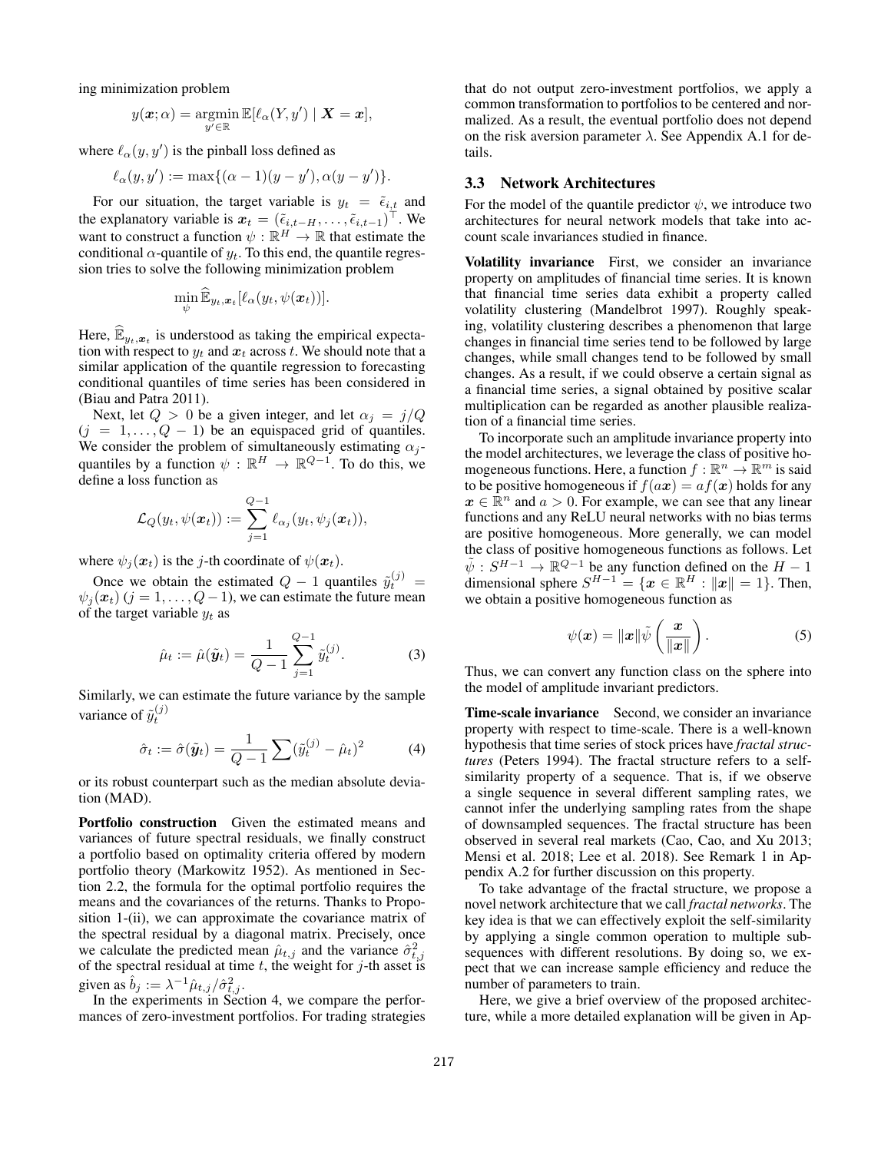ing minimization problem

$$
y(\boldsymbol{x};\alpha) = \operatorname*{argmin}_{y' \in \mathbb{R}} \mathbb{E}[\ell_\alpha(Y, y') \mid \boldsymbol{X} = \boldsymbol{x}],
$$

where  $\ell_{\alpha}(y, y')$  is the pinball loss defined as

$$
\ell_{\alpha}(y,y') := \max\{(\alpha-1)(y-y'), \alpha(y-y')\}.
$$

For our situation, the target variable is  $y_t = \tilde{\epsilon}_{i,t}$  and the explanatory variable is  $x_t = (\tilde{\epsilon}_{i,t-H}, \dots, \tilde{\epsilon}_{i,t-1})^{\top}$ . We want to construct a function  $\psi : \mathbb{R}^H \to \mathbb{R}$  that estimate the conditional  $\alpha$ -quantile of  $y_t$ . To this end, the quantile regression tries to solve the following minimization problem

$$
\min_{\psi} \widehat{\mathbb{E}}_{y_t, \boldsymbol{x}_t}[\ell_\alpha(y_t, \psi(\boldsymbol{x}_t))].
$$

Here,  $\widehat{\mathbb{E}}_{y_t, x_t}$  is understood as taking the empirical expectation with respect to  $y_t$  and  $x_t$  across t. We should note that a similar application of the quantile regression to forecasting conditional quantiles of time series has been considered in (Biau and Patra 2011).

Next, let  $Q > 0$  be a given integer, and let  $\alpha_j = j/Q$  $(j = 1, \ldots, Q - 1)$  be an equispaced grid of quantiles. We consider the problem of simultaneously estimating  $\alpha_j$ quantiles by a function  $\psi : \mathbb{R}^H \to \mathbb{R}^{Q-1}$ . To do this, we define a loss function as

$$
\mathcal{L}_Q(y_t, \psi(\boldsymbol{x}_t)) := \sum_{j=1}^{Q-1} \ell_{\alpha_j}(y_t, \psi_j(\boldsymbol{x}_t)),
$$

where  $\psi_i(\mathbf{x}_t)$  is the j-th coordinate of  $\psi(\mathbf{x}_t)$ .

Once we obtain the estimated  $Q - 1$  quantiles  $\tilde{y}_t^{(j)} =$  $\psi_i(\mathbf{x}_t)$  (j = 1, ..., Q – 1), we can estimate the future mean of the target variable  $y_t$  as

$$
\hat{\mu}_t := \hat{\mu}(\tilde{\boldsymbol{y}}_t) = \frac{1}{Q-1} \sum_{j=1}^{Q-1} \tilde{y}_t^{(j)}.
$$
 (3)

Similarly, we can estimate the future variance by the sample variance of  $\tilde{y}_t^{(j)}$ 

$$
\hat{\sigma}_t := \hat{\sigma}(\tilde{\boldsymbol{y}}_t) = \frac{1}{Q-1} \sum (\tilde{y}_t^{(j)} - \hat{\mu}_t)^2 \tag{4}
$$

or its robust counterpart such as the median absolute deviation (MAD).

Portfolio construction Given the estimated means and variances of future spectral residuals, we finally construct a portfolio based on optimality criteria offered by modern portfolio theory (Markowitz 1952). As mentioned in Section 2.2, the formula for the optimal portfolio requires the means and the covariances of the returns. Thanks to Proposition 1-(ii), we can approximate the covariance matrix of the spectral residual by a diagonal matrix. Precisely, once we calculate the predicted mean  $\hat{\mu}_{t,j}$  and the variance  $\hat{\sigma}_{t,j}^2$  of the spectral residual at time t, the weight for j-th asset is given as  $\hat{b}_j := \lambda^{-1} \hat{\mu}_{t,j} / \hat{\sigma}_{t,j}^2$ .

In the experiments in Section 4, we compare the performances of zero-investment portfolios. For trading strategies that do not output zero-investment portfolios, we apply a common transformation to portfolios to be centered and normalized. As a result, the eventual portfolio does not depend on the risk aversion parameter  $\lambda$ . See Appendix A.1 for details.

### 3.3 Network Architectures

For the model of the quantile predictor  $\psi$ , we introduce two architectures for neural network models that take into account scale invariances studied in finance.

Volatility invariance First, we consider an invariance property on amplitudes of financial time series. It is known that financial time series data exhibit a property called volatility clustering (Mandelbrot 1997). Roughly speaking, volatility clustering describes a phenomenon that large changes in financial time series tend to be followed by large changes, while small changes tend to be followed by small changes. As a result, if we could observe a certain signal as a financial time series, a signal obtained by positive scalar multiplication can be regarded as another plausible realization of a financial time series.

To incorporate such an amplitude invariance property into the model architectures, we leverage the class of positive homogeneous functions. Here, a function  $f : \mathbb{R}^n \to \mathbb{R}^m$  is said to be positive homogeneous if  $f(ax) = af(x)$  holds for any  $x \in \mathbb{R}^n$  and  $a > 0$ . For example, we can see that any linear functions and any ReLU neural networks with no bias terms are positive homogeneous. More generally, we can model the class of positive homogeneous functions as follows. Let  $\tilde{\psi}: S^{H-1} \to \mathbb{R}^{Q-1}$  be any function defined on the  $H-1$ dimensional sphere  $S^{H-1} = \{ \boldsymbol{x} \in \mathbb{R}^H : ||\boldsymbol{x}|| = 1 \}.$  Then, we obtain a positive homogeneous function as

$$
\psi(\boldsymbol{x}) = \|\boldsymbol{x}\| \tilde{\psi}\left(\frac{\boldsymbol{x}}{\|\boldsymbol{x}\|}\right). \tag{5}
$$

Thus, we can convert any function class on the sphere into the model of amplitude invariant predictors.

Time-scale invariance Second, we consider an invariance property with respect to time-scale. There is a well-known hypothesis that time series of stock prices have *fractal structures* (Peters 1994). The fractal structure refers to a selfsimilarity property of a sequence. That is, if we observe a single sequence in several different sampling rates, we cannot infer the underlying sampling rates from the shape of downsampled sequences. The fractal structure has been observed in several real markets (Cao, Cao, and Xu 2013; Mensi et al. 2018; Lee et al. 2018). See Remark 1 in Appendix A.2 for further discussion on this property.

To take advantage of the fractal structure, we propose a novel network architecture that we call *fractal networks*. The key idea is that we can effectively exploit the self-similarity by applying a single common operation to multiple subsequences with different resolutions. By doing so, we expect that we can increase sample efficiency and reduce the number of parameters to train.

Here, we give a brief overview of the proposed architecture, while a more detailed explanation will be given in Ap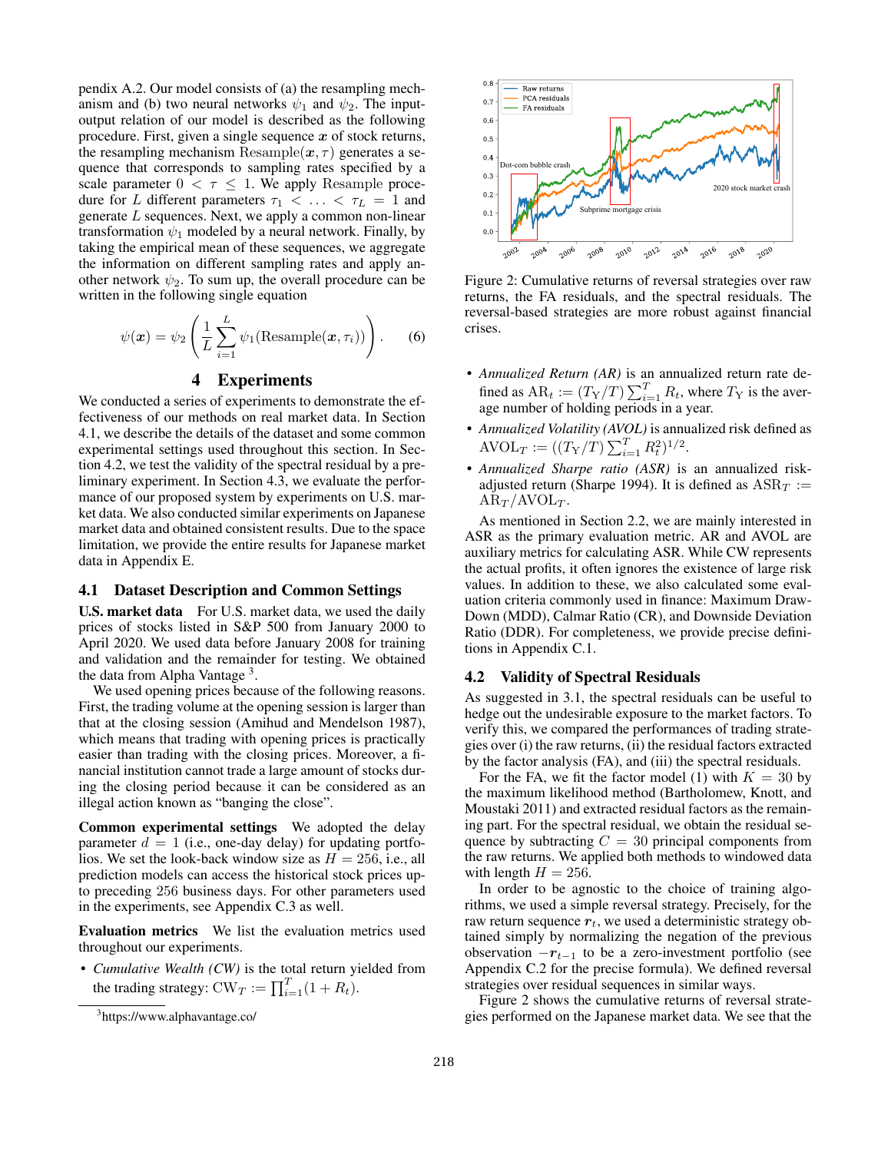pendix A.2. Our model consists of (a) the resampling mechanism and (b) two neural networks  $\psi_1$  and  $\psi_2$ . The inputoutput relation of our model is described as the following procedure. First, given a single sequence  $x$  of stock returns, the resampling mechanism Resample $(x, \tau)$  generates a sequence that corresponds to sampling rates specified by a scale parameter  $0 < \tau \leq 1$ . We apply Resample procedure for L different parameters  $\tau_1$  < ... <  $\tau_L$  = 1 and generate L sequences. Next, we apply a common non-linear transformation  $\psi_1$  modeled by a neural network. Finally, by taking the empirical mean of these sequences, we aggregate the information on different sampling rates and apply another network  $\psi_2$ . To sum up, the overall procedure can be written in the following single equation

$$
\psi(\boldsymbol{x}) = \psi_2 \left( \frac{1}{L} \sum_{i=1}^{L} \psi_1(\text{Resample}(\boldsymbol{x}, \tau_i)) \right). \tag{6}
$$

# 4 Experiments

We conducted a series of experiments to demonstrate the effectiveness of our methods on real market data. In Section 4.1, we describe the details of the dataset and some common experimental settings used throughout this section. In Section 4.2, we test the validity of the spectral residual by a preliminary experiment. In Section 4.3, we evaluate the performance of our proposed system by experiments on U.S. market data. We also conducted similar experiments on Japanese market data and obtained consistent results. Due to the space limitation, we provide the entire results for Japanese market data in Appendix E.

#### 4.1 Dataset Description and Common Settings

U.S. market data For U.S. market data, we used the daily prices of stocks listed in S&P 500 from January 2000 to April 2020. We used data before January 2008 for training and validation and the remainder for testing. We obtained the data from Alpha Vantage<sup>3</sup>.

We used opening prices because of the following reasons. First, the trading volume at the opening session is larger than that at the closing session (Amihud and Mendelson 1987), which means that trading with opening prices is practically easier than trading with the closing prices. Moreover, a financial institution cannot trade a large amount of stocks during the closing period because it can be considered as an illegal action known as "banging the close".

Common experimental settings We adopted the delay parameter  $d = 1$  (i.e., one-day delay) for updating portfolios. We set the look-back window size as  $H = 256$ , i.e., all prediction models can access the historical stock prices upto preceding 256 business days. For other parameters used in the experiments, see Appendix C.3 as well.

Evaluation metrics We list the evaluation metrics used throughout our experiments.

• *Cumulative Wealth (CW)* is the total return yielded from the trading strategy:  $CW_T := \prod_{i=1}^T (1 + R_t)$ .



Figure 2: Cumulative returns of reversal strategies over raw returns, the FA residuals, and the spectral residuals. The reversal-based strategies are more robust against financial crises.

- *Annualized Return (AR)* is an annualized return rate defined as  $AR_t := (T_Y/T) \sum_{i=1}^T R_t$ , where  $T_Y$  is the average number of holding periods in a year.
- *Annualized Volatility (AVOL)* is annualized risk defined as AVOL<sub>T</sub> :=  $((T_Y/T)\sum_{i=1}^T R_t^2)^{1/2}$ .
- *Annualized Sharpe ratio (ASR)* is an annualized riskadjusted return (Sharpe 1994). It is defined as  $ASR<sub>T</sub>$  :=  $AR_T/AVOL_T$ .

As mentioned in Section 2.2, we are mainly interested in ASR as the primary evaluation metric. AR and AVOL are auxiliary metrics for calculating ASR. While CW represents the actual profits, it often ignores the existence of large risk values. In addition to these, we also calculated some evaluation criteria commonly used in finance: Maximum Draw-Down (MDD), Calmar Ratio (CR), and Downside Deviation Ratio (DDR). For completeness, we provide precise definitions in Appendix C.1.

#### 4.2 Validity of Spectral Residuals

As suggested in 3.1, the spectral residuals can be useful to hedge out the undesirable exposure to the market factors. To verify this, we compared the performances of trading strategies over (i) the raw returns, (ii) the residual factors extracted by the factor analysis (FA), and (iii) the spectral residuals.

For the FA, we fit the factor model (1) with  $K = 30$  by the maximum likelihood method (Bartholomew, Knott, and Moustaki 2011) and extracted residual factors as the remaining part. For the spectral residual, we obtain the residual sequence by subtracting  $C = 30$  principal components from the raw returns. We applied both methods to windowed data with length  $H = 256$ .

In order to be agnostic to the choice of training algorithms, we used a simple reversal strategy. Precisely, for the raw return sequence  $r_t$ , we used a deterministic strategy obtained simply by normalizing the negation of the previous observation  $-r_{t-1}$  to be a zero-investment portfolio (see Appendix C.2 for the precise formula). We defined reversal strategies over residual sequences in similar ways.

Figure 2 shows the cumulative returns of reversal strategies performed on the Japanese market data. We see that the

<sup>3</sup> https://www.alphavantage.co/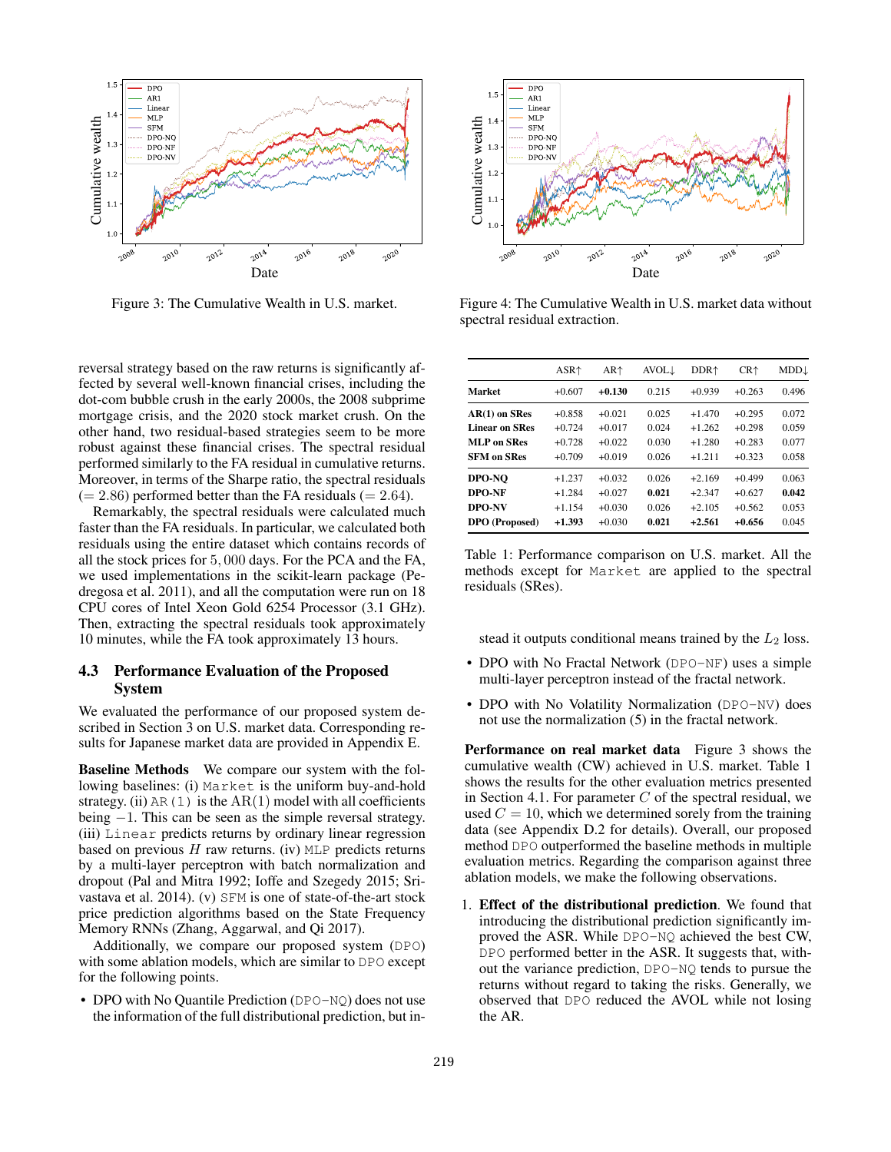

Figure 3: The Cumulative Wealth in U.S. market.

reversal strategy based on the raw returns is significantly affected by several well-known financial crises, including the dot-com bubble crush in the early 2000s, the 2008 subprime mortgage crisis, and the 2020 stock market crush. On the other hand, two residual-based strategies seem to be more robust against these financial crises. The spectral residual performed similarly to the FA residual in cumulative returns. Moreover, in terms of the Sharpe ratio, the spectral residuals  $(= 2.86)$  performed better than the FA residuals  $(= 2.64)$ .

Remarkably, the spectral residuals were calculated much faster than the FA residuals. In particular, we calculated both residuals using the entire dataset which contains records of all the stock prices for 5, 000 days. For the PCA and the FA, we used implementations in the scikit-learn package (Pedregosa et al. 2011), and all the computation were run on 18 CPU cores of Intel Xeon Gold 6254 Processor (3.1 GHz). Then, extracting the spectral residuals took approximately 10 minutes, while the FA took approximately 13 hours.

## 4.3 Performance Evaluation of the Proposed System

We evaluated the performance of our proposed system described in Section 3 on U.S. market data. Corresponding results for Japanese market data are provided in Appendix E.

Baseline Methods We compare our system with the following baselines: (i) Market is the uniform buy-and-hold strategy. (ii) AR(1) is the  $AR(1)$  model with all coefficients being −1. This can be seen as the simple reversal strategy. (iii) Linear predicts returns by ordinary linear regression based on previous  $H$  raw returns. (iv) MLP predicts returns by a multi-layer perceptron with batch normalization and dropout (Pal and Mitra 1992; Ioffe and Szegedy 2015; Srivastava et al. 2014). (v) SFM is one of state-of-the-art stock price prediction algorithms based on the State Frequency Memory RNNs (Zhang, Aggarwal, and Qi 2017).

Additionally, we compare our proposed system (DPO) with some ablation models, which are similar to DPO except for the following points.

• DPO with No Quantile Prediction (DPO-NQ) does not use the information of the full distributional prediction, but in-



Figure 4: The Cumulative Wealth in U.S. market data without spectral residual extraction.

|                       | $ASR+$   | AR <sup>†</sup> | <b>AVOL</b> | DDR <sup>+</sup> | $CR+$    | $MDD\downarrow$ |
|-----------------------|----------|-----------------|-------------|------------------|----------|-----------------|
| <b>Market</b>         | $+0.607$ | $+0.130$        | 0.215       | $+0.939$         | $+0.263$ | 0.496           |
| AR(1) on SRes         | $+0.858$ | $+0.021$        | 0.025       | $+1.470$         | $+0.295$ | 0.072           |
| <b>Linear on SRes</b> | $+0.724$ | $+0.017$        | 0.024       | $+1.262$         | $+0.298$ | 0.059           |
| <b>MLP</b> on SRes    | $+0.728$ | $+0.022$        | 0.030       | $+1.280$         | $+0.283$ | 0.077           |
| <b>SFM on SRes</b>    | $+0.709$ | $+0.019$        | 0.026       | $+1.211$         | $+0.323$ | 0.058           |
| DPO-NO                | $+1.237$ | $+0.032$        | 0.026       | $+2.169$         | $+0.499$ | 0.063           |
| DPO-NF                | $+1.284$ | $+0.027$        | 0.021       | $+2.347$         | $+0.627$ | 0.042           |
| DPO-NV                | $+1.154$ | $+0.030$        | 0.026       | $+2.105$         | $+0.562$ | 0.053           |
| <b>DPO</b> (Proposed) | $+1.393$ | $+0.030$        | 0.021       | $+2.561$         | $+0.656$ | 0.045           |

Table 1: Performance comparison on U.S. market. All the methods except for Market are applied to the spectral residuals (SRes).

stead it outputs conditional means trained by the  $L_2$  loss.

- DPO with No Fractal Network (DPO-NF) uses a simple multi-layer perceptron instead of the fractal network.
- DPO with No Volatility Normalization (DPO-NV) does not use the normalization (5) in the fractal network.

Performance on real market data Figure 3 shows the cumulative wealth (CW) achieved in U.S. market. Table 1 shows the results for the other evaluation metrics presented in Section 4.1. For parameter  $C$  of the spectral residual, we used  $C = 10$ , which we determined sorely from the training data (see Appendix D.2 for details). Overall, our proposed method DPO outperformed the baseline methods in multiple evaluation metrics. Regarding the comparison against three ablation models, we make the following observations.

1. Effect of the distributional prediction. We found that introducing the distributional prediction significantly improved the ASR. While DPO-NQ achieved the best CW, DPO performed better in the ASR. It suggests that, without the variance prediction, DPO-NQ tends to pursue the returns without regard to taking the risks. Generally, we observed that DPO reduced the AVOL while not losing the AR.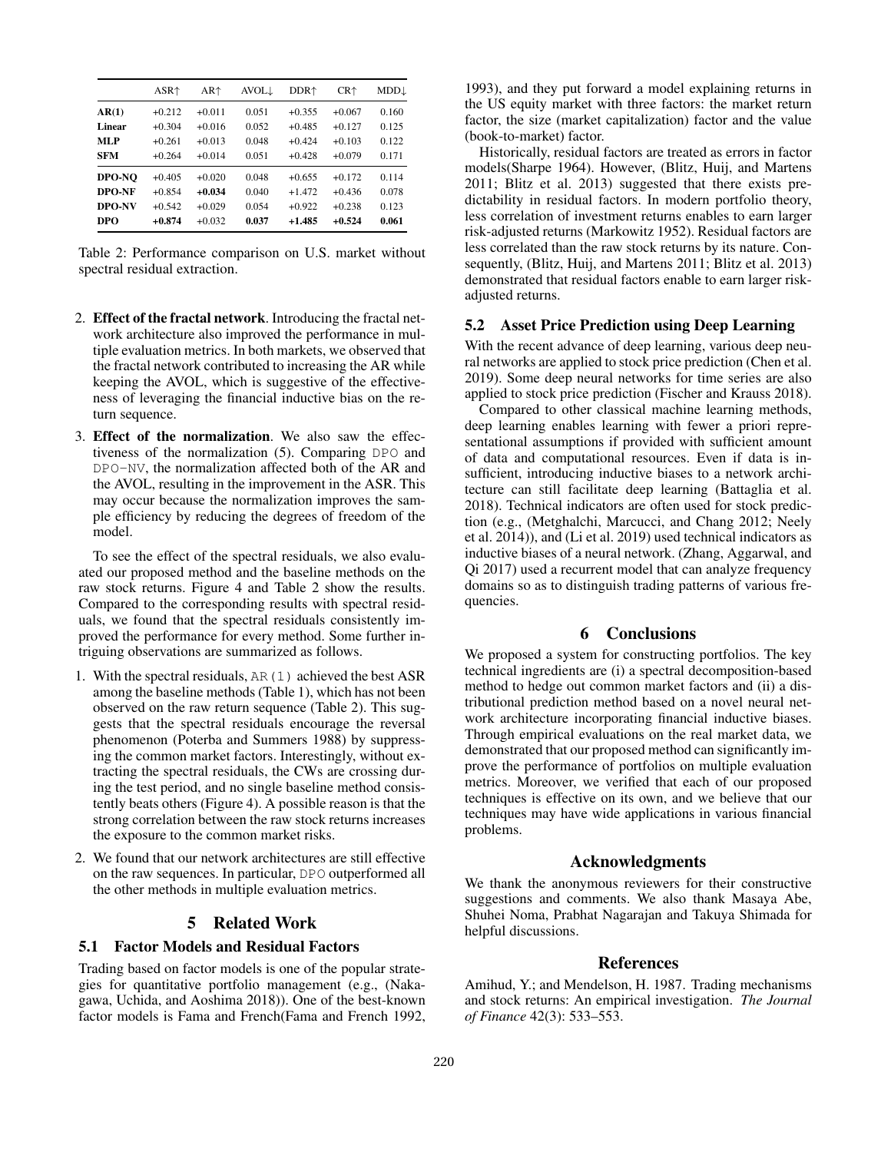|            | $ASR+$   | $AR+$    | $AVOL\downarrow$ | DDR <sup>+</sup> | $CR+$    | MDD↓  |
|------------|----------|----------|------------------|------------------|----------|-------|
| AR(1)      | $+0.212$ | $+0.011$ | 0.051            | $+0.355$         | $+0.067$ | 0.160 |
| Linear     | $+0.304$ | $+0.016$ | 0.052            | $+0.485$         | $+0.127$ | 0.125 |
| MLP        | $+0.261$ | $+0.013$ | 0.048            | $+0.424$         | $+0.103$ | 0.122 |
| <b>SFM</b> | $+0.264$ | $+0.014$ | 0.051            | $+0.428$         | $+0.079$ | 0.171 |
| DPO-NO     | $+0.405$ | $+0.020$ | 0.048            | $+0.655$         | $+0.172$ | 0.114 |
| DPO-NF     | $+0.854$ | $+0.034$ | 0.040            | $+1.472$         | $+0.436$ | 0.078 |
| DPO-NV     | $+0.542$ | $+0.029$ | 0.054            | $+0.922$         | $+0.238$ | 0.123 |
| <b>DPO</b> | $+0.874$ | $+0.032$ | 0.037            | $+1.485$         | $+0.524$ | 0.061 |

Table 2: Performance comparison on U.S. market without spectral residual extraction.

- 2. Effect of the fractal network. Introducing the fractal network architecture also improved the performance in multiple evaluation metrics. In both markets, we observed that the fractal network contributed to increasing the AR while keeping the AVOL, which is suggestive of the effectiveness of leveraging the financial inductive bias on the return sequence.
- 3. Effect of the normalization. We also saw the effectiveness of the normalization (5). Comparing DPO and DPO-NV, the normalization affected both of the AR and the AVOL, resulting in the improvement in the ASR. This may occur because the normalization improves the sample efficiency by reducing the degrees of freedom of the model.

To see the effect of the spectral residuals, we also evaluated our proposed method and the baseline methods on the raw stock returns. Figure 4 and Table 2 show the results. Compared to the corresponding results with spectral residuals, we found that the spectral residuals consistently improved the performance for every method. Some further intriguing observations are summarized as follows.

- 1. With the spectral residuals, AR(1) achieved the best ASR among the baseline methods (Table 1), which has not been observed on the raw return sequence (Table 2). This suggests that the spectral residuals encourage the reversal phenomenon (Poterba and Summers 1988) by suppressing the common market factors. Interestingly, without extracting the spectral residuals, the CWs are crossing during the test period, and no single baseline method consistently beats others (Figure 4). A possible reason is that the strong correlation between the raw stock returns increases the exposure to the common market risks.
- 2. We found that our network architectures are still effective on the raw sequences. In particular, DPO outperformed all the other methods in multiple evaluation metrics.

# 5 Related Work

### 5.1 Factor Models and Residual Factors

Trading based on factor models is one of the popular strategies for quantitative portfolio management (e.g., (Nakagawa, Uchida, and Aoshima 2018)). One of the best-known factor models is Fama and French(Fama and French 1992,

1993), and they put forward a model explaining returns in the US equity market with three factors: the market return factor, the size (market capitalization) factor and the value (book-to-market) factor.

Historically, residual factors are treated as errors in factor models(Sharpe 1964). However, (Blitz, Huij, and Martens 2011; Blitz et al. 2013) suggested that there exists predictability in residual factors. In modern portfolio theory, less correlation of investment returns enables to earn larger risk-adjusted returns (Markowitz 1952). Residual factors are less correlated than the raw stock returns by its nature. Consequently, (Blitz, Huij, and Martens 2011; Blitz et al. 2013) demonstrated that residual factors enable to earn larger riskadjusted returns.

#### 5.2 Asset Price Prediction using Deep Learning

With the recent advance of deep learning, various deep neural networks are applied to stock price prediction (Chen et al. 2019). Some deep neural networks for time series are also applied to stock price prediction (Fischer and Krauss 2018).

Compared to other classical machine learning methods, deep learning enables learning with fewer a priori representational assumptions if provided with sufficient amount of data and computational resources. Even if data is insufficient, introducing inductive biases to a network architecture can still facilitate deep learning (Battaglia et al. 2018). Technical indicators are often used for stock prediction (e.g., (Metghalchi, Marcucci, and Chang 2012; Neely et al. 2014)), and (Li et al. 2019) used technical indicators as inductive biases of a neural network. (Zhang, Aggarwal, and Qi 2017) used a recurrent model that can analyze frequency domains so as to distinguish trading patterns of various frequencies.

## 6 Conclusions

We proposed a system for constructing portfolios. The key technical ingredients are (i) a spectral decomposition-based method to hedge out common market factors and (ii) a distributional prediction method based on a novel neural network architecture incorporating financial inductive biases. Through empirical evaluations on the real market data, we demonstrated that our proposed method can significantly improve the performance of portfolios on multiple evaluation metrics. Moreover, we verified that each of our proposed techniques is effective on its own, and we believe that our techniques may have wide applications in various financial problems.

### Acknowledgments

We thank the anonymous reviewers for their constructive suggestions and comments. We also thank Masaya Abe, Shuhei Noma, Prabhat Nagarajan and Takuya Shimada for helpful discussions.

### References

Amihud, Y.; and Mendelson, H. 1987. Trading mechanisms and stock returns: An empirical investigation. *The Journal of Finance* 42(3): 533–553.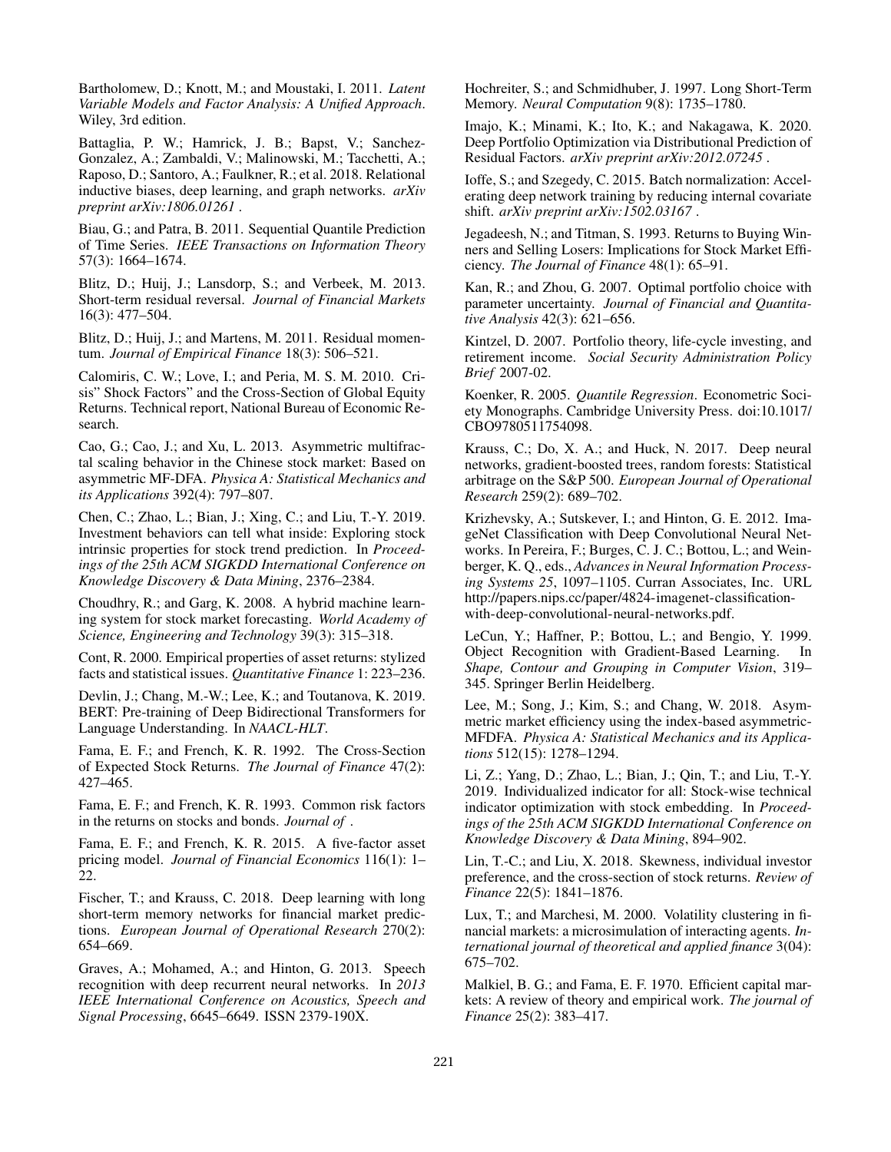Bartholomew, D.; Knott, M.; and Moustaki, I. 2011. *Latent Variable Models and Factor Analysis: A Unified Approach*. Wiley, 3rd edition.

Battaglia, P. W.; Hamrick, J. B.; Bapst, V.; Sanchez-Gonzalez, A.; Zambaldi, V.; Malinowski, M.; Tacchetti, A.; Raposo, D.; Santoro, A.; Faulkner, R.; et al. 2018. Relational inductive biases, deep learning, and graph networks. *arXiv preprint arXiv:1806.01261* .

Biau, G.; and Patra, B. 2011. Sequential Quantile Prediction of Time Series. *IEEE Transactions on Information Theory* 57(3): 1664–1674.

Blitz, D.; Huij, J.; Lansdorp, S.; and Verbeek, M. 2013. Short-term residual reversal. *Journal of Financial Markets* 16(3): 477–504.

Blitz, D.; Huij, J.; and Martens, M. 2011. Residual momentum. *Journal of Empirical Finance* 18(3): 506–521.

Calomiris, C. W.; Love, I.; and Peria, M. S. M. 2010. Crisis" Shock Factors" and the Cross-Section of Global Equity Returns. Technical report, National Bureau of Economic Research.

Cao, G.; Cao, J.; and Xu, L. 2013. Asymmetric multifractal scaling behavior in the Chinese stock market: Based on asymmetric MF-DFA. *Physica A: Statistical Mechanics and its Applications* 392(4): 797–807.

Chen, C.; Zhao, L.; Bian, J.; Xing, C.; and Liu, T.-Y. 2019. Investment behaviors can tell what inside: Exploring stock intrinsic properties for stock trend prediction. In *Proceedings of the 25th ACM SIGKDD International Conference on Knowledge Discovery & Data Mining*, 2376–2384.

Choudhry, R.; and Garg, K. 2008. A hybrid machine learning system for stock market forecasting. *World Academy of Science, Engineering and Technology* 39(3): 315–318.

Cont, R. 2000. Empirical properties of asset returns: stylized facts and statistical issues. *Quantitative Finance* 1: 223–236.

Devlin, J.; Chang, M.-W.; Lee, K.; and Toutanova, K. 2019. BERT: Pre-training of Deep Bidirectional Transformers for Language Understanding. In *NAACL-HLT*.

Fama, E. F.; and French, K. R. 1992. The Cross-Section of Expected Stock Returns. *The Journal of Finance* 47(2): 427–465.

Fama, E. F.; and French, K. R. 1993. Common risk factors in the returns on stocks and bonds. *Journal of* .

Fama, E. F.; and French, K. R. 2015. A five-factor asset pricing model. *Journal of Financial Economics* 116(1): 1– 22.

Fischer, T.; and Krauss, C. 2018. Deep learning with long short-term memory networks for financial market predictions. *European Journal of Operational Research* 270(2): 654–669.

Graves, A.; Mohamed, A.; and Hinton, G. 2013. Speech recognition with deep recurrent neural networks. In *2013 IEEE International Conference on Acoustics, Speech and Signal Processing*, 6645–6649. ISSN 2379-190X.

Hochreiter, S.; and Schmidhuber, J. 1997. Long Short-Term Memory. *Neural Computation* 9(8): 1735–1780.

Imajo, K.; Minami, K.; Ito, K.; and Nakagawa, K. 2020. Deep Portfolio Optimization via Distributional Prediction of Residual Factors. *arXiv preprint arXiv:2012.07245* .

Ioffe, S.; and Szegedy, C. 2015. Batch normalization: Accelerating deep network training by reducing internal covariate shift. *arXiv preprint arXiv:1502.03167* .

Jegadeesh, N.; and Titman, S. 1993. Returns to Buying Winners and Selling Losers: Implications for Stock Market Efficiency. *The Journal of Finance* 48(1): 65–91.

Kan, R.; and Zhou, G. 2007. Optimal portfolio choice with parameter uncertainty. *Journal of Financial and Quantitative Analysis* 42(3): 621–656.

Kintzel, D. 2007. Portfolio theory, life-cycle investing, and retirement income. *Social Security Administration Policy Brief* 2007-02.

Koenker, R. 2005. *Quantile Regression*. Econometric Society Monographs. Cambridge University Press. doi:10.1017/ CBO9780511754098.

Krauss, C.; Do, X. A.; and Huck, N. 2017. Deep neural networks, gradient-boosted trees, random forests: Statistical arbitrage on the S&P 500. *European Journal of Operational Research* 259(2): 689–702.

Krizhevsky, A.; Sutskever, I.; and Hinton, G. E. 2012. ImageNet Classification with Deep Convolutional Neural Networks. In Pereira, F.; Burges, C. J. C.; Bottou, L.; and Weinberger, K. Q., eds., *Advances in Neural Information Processing Systems 25*, 1097–1105. Curran Associates, Inc. URL http://papers.nips.cc/paper/4824-imagenet-classificationwith-deep-convolutional-neural-networks.pdf.

LeCun, Y.; Haffner, P.; Bottou, L.; and Bengio, Y. 1999. Object Recognition with Gradient-Based Learning. In *Shape, Contour and Grouping in Computer Vision*, 319– 345. Springer Berlin Heidelberg.

Lee, M.; Song, J.; Kim, S.; and Chang, W. 2018. Asymmetric market efficiency using the index-based asymmetric-MFDFA. *Physica A: Statistical Mechanics and its Applications* 512(15): 1278–1294.

Li, Z.; Yang, D.; Zhao, L.; Bian, J.; Qin, T.; and Liu, T.-Y. 2019. Individualized indicator for all: Stock-wise technical indicator optimization with stock embedding. In *Proceedings of the 25th ACM SIGKDD International Conference on Knowledge Discovery & Data Mining*, 894–902.

Lin, T.-C.; and Liu, X. 2018. Skewness, individual investor preference, and the cross-section of stock returns. *Review of Finance* 22(5): 1841–1876.

Lux, T.; and Marchesi, M. 2000. Volatility clustering in financial markets: a microsimulation of interacting agents. *International journal of theoretical and applied finance* 3(04): 675–702.

Malkiel, B. G.; and Fama, E. F. 1970. Efficient capital markets: A review of theory and empirical work. *The journal of Finance* 25(2): 383–417.